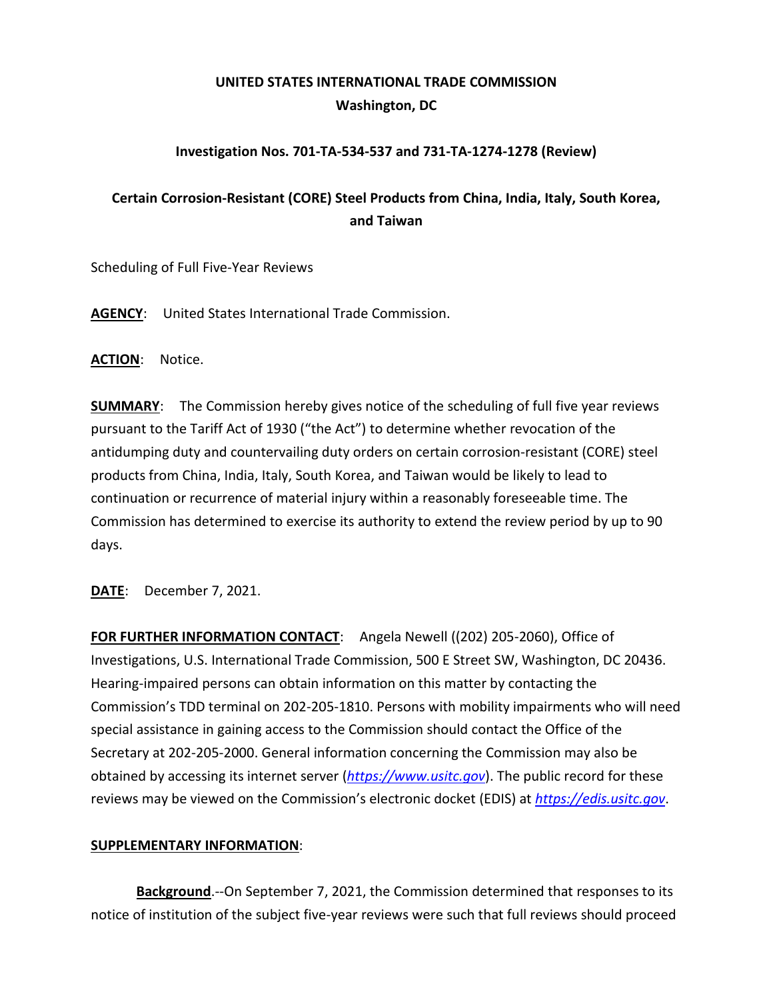## **UNITED STATES INTERNATIONAL TRADE COMMISSION Washington, DC**

## **Investigation Nos. 701-TA-534-537 and 731-TA-1274-1278 (Review)**

## **Certain Corrosion-Resistant (CORE) Steel Products from China, India, Italy, South Korea, and Taiwan**

Scheduling of Full Five-Year Reviews

**AGENCY**: United States International Trade Commission.

**ACTION**: Notice.

**SUMMARY**: The Commission hereby gives notice of the scheduling of full five year reviews pursuant to the Tariff Act of 1930 ("the Act") to determine whether revocation of the antidumping duty and countervailing duty orders on certain corrosion-resistant (CORE) steel products from China, India, Italy, South Korea, and Taiwan would be likely to lead to continuation or recurrence of material injury within a reasonably foreseeable time. The Commission has determined to exercise its authority to extend the review period by up to 90 days.

**DATE**: December 7, 2021.

**FOR FURTHER INFORMATION CONTACT**: Angela Newell ((202) 205-2060), Office of Investigations, U.S. International Trade Commission, 500 E Street SW, Washington, DC 20436. Hearing-impaired persons can obtain information on this matter by contacting the Commission's TDD terminal on 202-205-1810. Persons with mobility impairments who will need special assistance in gaining access to the Commission should contact the Office of the Secretary at 202-205-2000. General information concerning the Commission may also be obtained by accessing its internet server (*[https://www.usitc.gov](https://www.usitc.gov/)*). The public record for these reviews may be viewed on the Commission's electronic docket (EDIS) at *[https://edis.usitc.gov](https://edis.usitc.gov/)*.

## **SUPPLEMENTARY INFORMATION**:

**Background**.--On September 7, 2021, the Commission determined that responses to its notice of institution of the subject five-year reviews were such that full reviews should proceed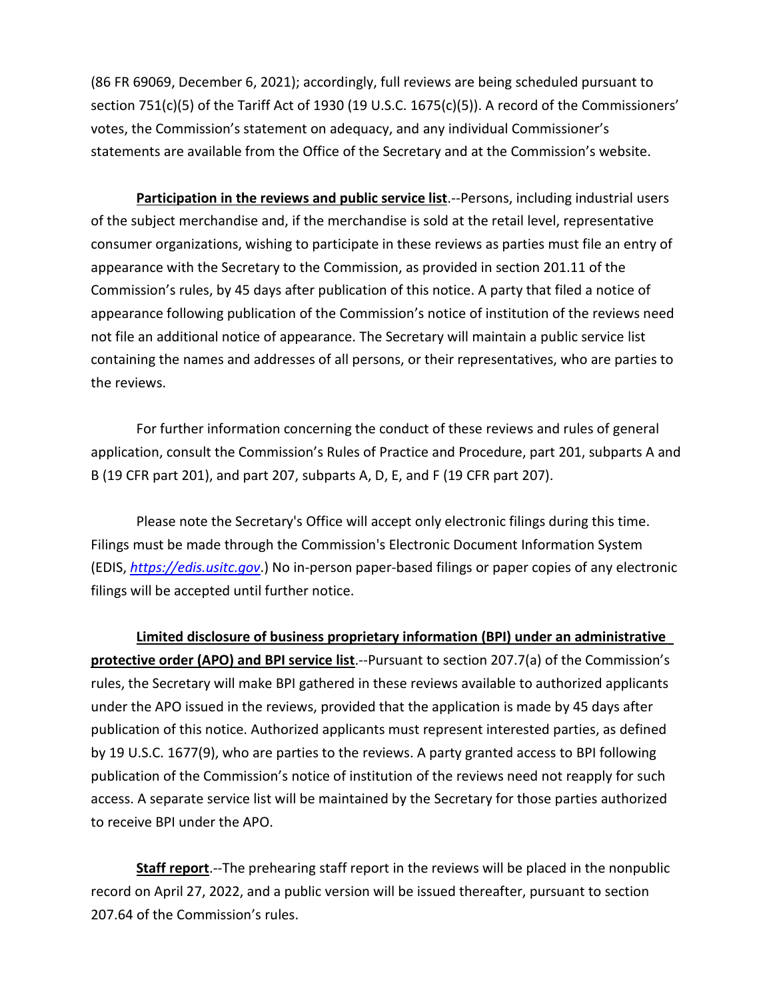(86 FR 69069, December 6, 2021); accordingly, full reviews are being scheduled pursuant to section 751(c)(5) of the Tariff Act of 1930 (19 U.S.C. 1675(c)(5)). A record of the Commissioners' votes, the Commission's statement on adequacy, and any individual Commissioner's statements are available from the Office of the Secretary and at the Commission's website.

**Participation in the reviews and public service list**.--Persons, including industrial users of the subject merchandise and, if the merchandise is sold at the retail level, representative consumer organizations, wishing to participate in these reviews as parties must file an entry of appearance with the Secretary to the Commission, as provided in section 201.11 of the Commission's rules, by 45 days after publication of this notice. A party that filed a notice of appearance following publication of the Commission's notice of institution of the reviews need not file an additional notice of appearance. The Secretary will maintain a public service list containing the names and addresses of all persons, or their representatives, who are parties to the reviews.

For further information concerning the conduct of these reviews and rules of general application, consult the Commission's Rules of Practice and Procedure, part 201, subparts A and B (19 CFR part 201), and part 207, subparts A, D, E, and F (19 CFR part 207).

Please note the Secretary's Office will accept only electronic filings during this time. Filings must be made through the Commission's Electronic Document Information System (EDIS, *[https://edis.usitc.gov](https://edis.usitc.gov/)*.) No in-person paper-based filings or paper copies of any electronic filings will be accepted until further notice.

**Limited disclosure of business proprietary information (BPI) under an administrative protective order (APO) and BPI service list**.--Pursuant to section 207.7(a) of the Commission's rules, the Secretary will make BPI gathered in these reviews available to authorized applicants under the APO issued in the reviews, provided that the application is made by 45 days after publication of this notice. Authorized applicants must represent interested parties, as defined by 19 U.S.C. 1677(9), who are parties to the reviews. A party granted access to BPI following publication of the Commission's notice of institution of the reviews need not reapply for such access. A separate service list will be maintained by the Secretary for those parties authorized to receive BPI under the APO.

**Staff report**.--The prehearing staff report in the reviews will be placed in the nonpublic record on April 27, 2022, and a public version will be issued thereafter, pursuant to section 207.64 of the Commission's rules.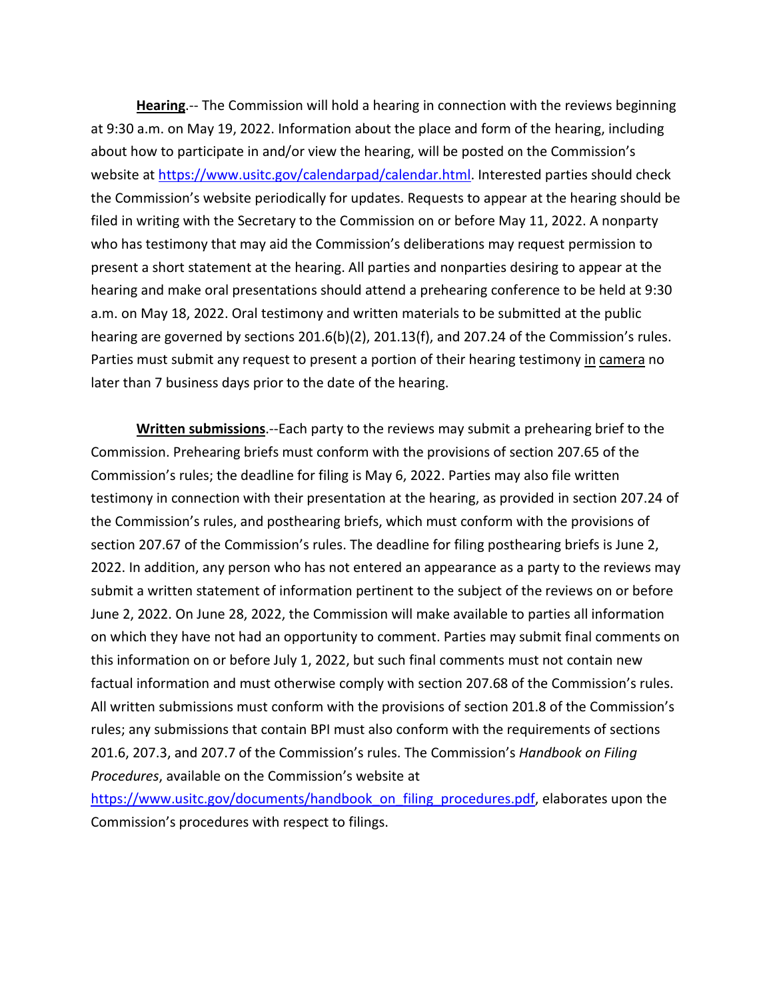**Hearing**.-- The Commission will hold a hearing in connection with the reviews beginning at 9:30 a.m. on May 19, 2022. Information about the place and form of the hearing, including about how to participate in and/or view the hearing, will be posted on the Commission's website at [https://www.usitc.gov/calendarpad/calendar.html.](https://www.usitc.gov/calendarpad/calendar.html) Interested parties should check the Commission's website periodically for updates. Requests to appear at the hearing should be filed in writing with the Secretary to the Commission on or before May 11, 2022. A nonparty who has testimony that may aid the Commission's deliberations may request permission to present a short statement at the hearing. All parties and nonparties desiring to appear at the hearing and make oral presentations should attend a prehearing conference to be held at 9:30 a.m. on May 18, 2022. Oral testimony and written materials to be submitted at the public hearing are governed by sections 201.6(b)(2), 201.13(f), and 207.24 of the Commission's rules. Parties must submit any request to present a portion of their hearing testimony in camera no later than 7 business days prior to the date of the hearing.

**Written submissions**.--Each party to the reviews may submit a prehearing brief to the Commission. Prehearing briefs must conform with the provisions of section 207.65 of the Commission's rules; the deadline for filing is May 6, 2022. Parties may also file written testimony in connection with their presentation at the hearing, as provided in section 207.24 of the Commission's rules, and posthearing briefs, which must conform with the provisions of section 207.67 of the Commission's rules. The deadline for filing posthearing briefs is June 2, 2022. In addition, any person who has not entered an appearance as a party to the reviews may submit a written statement of information pertinent to the subject of the reviews on or before June 2, 2022. On June 28, 2022, the Commission will make available to parties all information on which they have not had an opportunity to comment. Parties may submit final comments on this information on or before July 1, 2022, but such final comments must not contain new factual information and must otherwise comply with section 207.68 of the Commission's rules. All written submissions must conform with the provisions of section 201.8 of the Commission's rules; any submissions that contain BPI must also conform with the requirements of sections 201.6, 207.3, and 207.7 of the Commission's rules. The Commission's *Handbook on Filing Procedures*, available on the Commission's website at

[https://www.usitc.gov/documents/handbook\\_on\\_filing\\_procedures.pdf,](https://www.usitc.gov/documents/handbook_on_filing_procedures.pdf) elaborates upon the Commission's procedures with respect to filings.